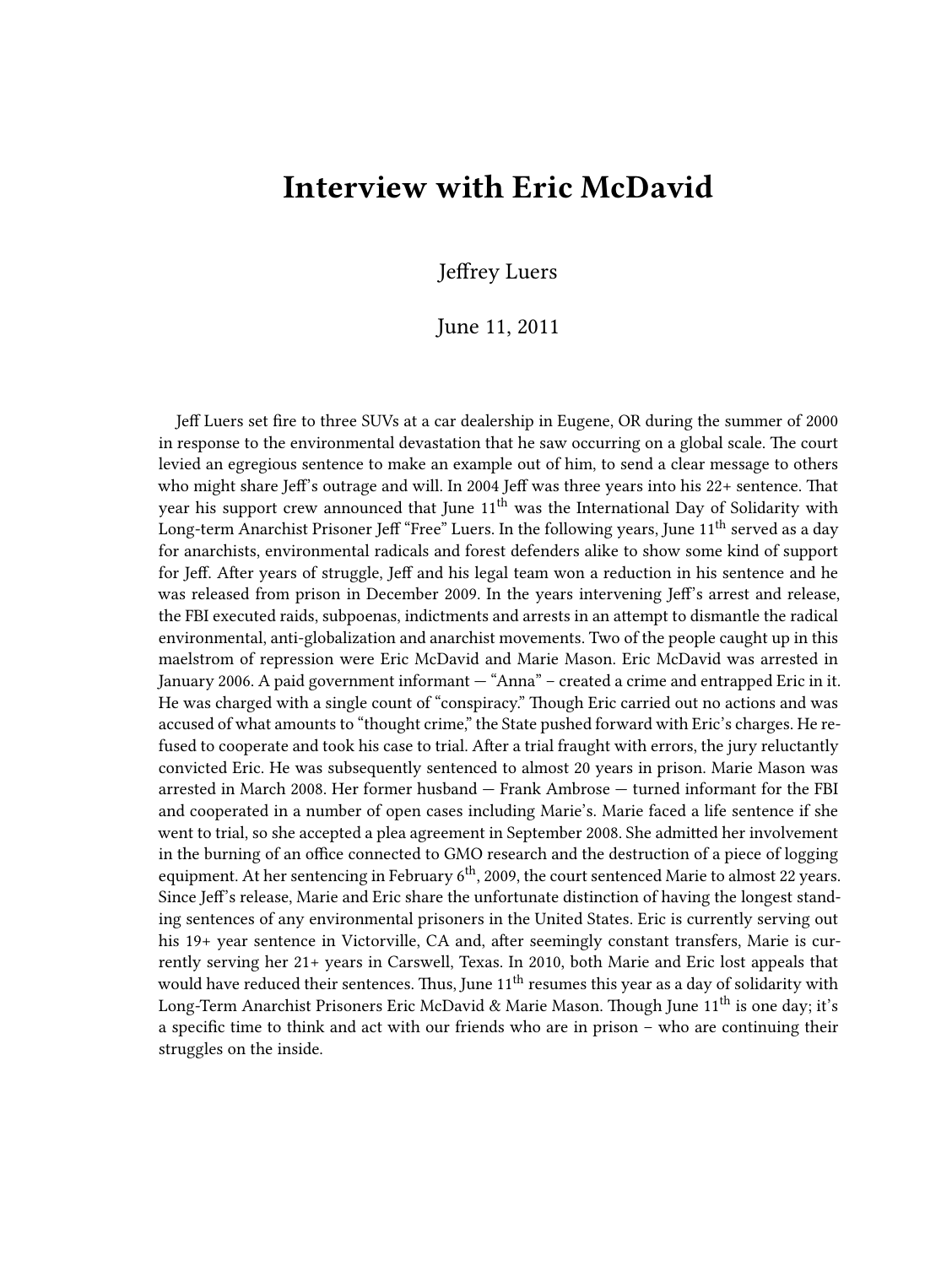## **Interview with Eric McDavid**

## Jeffrey Luers

## June 11, 2011

Jeff Luers set fire to three SUVs at a car dealership in Eugene, OR during the summer of 2000 in response to the environmental devastation that he saw occurring on a global scale. The court levied an egregious sentence to make an example out of him, to send a clear message to others who might share Jeff's outrage and will. In 2004 Jeff was three years into his 22+ sentence. That year his support crew announced that June  $11<sup>th</sup>$  was the International Day of Solidarity with Long-term Anarchist Prisoner Jeff "Free" Luers. In the following years, June  $11<sup>th</sup>$  served as a day for anarchists, environmental radicals and forest defenders alike to show some kind of support for Jeff. After years of struggle, Jeff and his legal team won a reduction in his sentence and he was released from prison in December 2009. In the years intervening Jeff's arrest and release, the FBI executed raids, subpoenas, indictments and arrests in an attempt to dismantle the radical environmental, anti-globalization and anarchist movements. Two of the people caught up in this maelstrom of repression were Eric McDavid and Marie Mason. Eric McDavid was arrested in January 2006. A paid government informant — "Anna" – created a crime and entrapped Eric in it. He was charged with a single count of "conspiracy." Though Eric carried out no actions and was accused of what amounts to "thought crime," the State pushed forward with Eric's charges. He refused to cooperate and took his case to trial. After a trial fraught with errors, the jury reluctantly convicted Eric. He was subsequently sentenced to almost 20 years in prison. Marie Mason was arrested in March 2008. Her former husband — Frank Ambrose — turned informant for the FBI and cooperated in a number of open cases including Marie's. Marie faced a life sentence if she went to trial, so she accepted a plea agreement in September 2008. She admitted her involvement in the burning of an office connected to GMO research and the destruction of a piece of logging equipment. At her sentencing in February  $6<sup>th</sup>$ , 2009, the court sentenced Marie to almost 22 years. Since Jeff's release, Marie and Eric share the unfortunate distinction of having the longest standing sentences of any environmental prisoners in the United States. Eric is currently serving out his 19+ year sentence in Victorville, CA and, after seemingly constant transfers, Marie is currently serving her 21+ years in Carswell, Texas. In 2010, both Marie and Eric lost appeals that would have reduced their sentences. Thus, June 11<sup>th</sup> resumes this year as a day of solidarity with Long-Term Anarchist Prisoners Eric McDavid & Marie Mason. Though June  $11<sup>th</sup>$  is one day; it's a specific time to think and act with our friends who are in prison – who are continuing their struggles on the inside.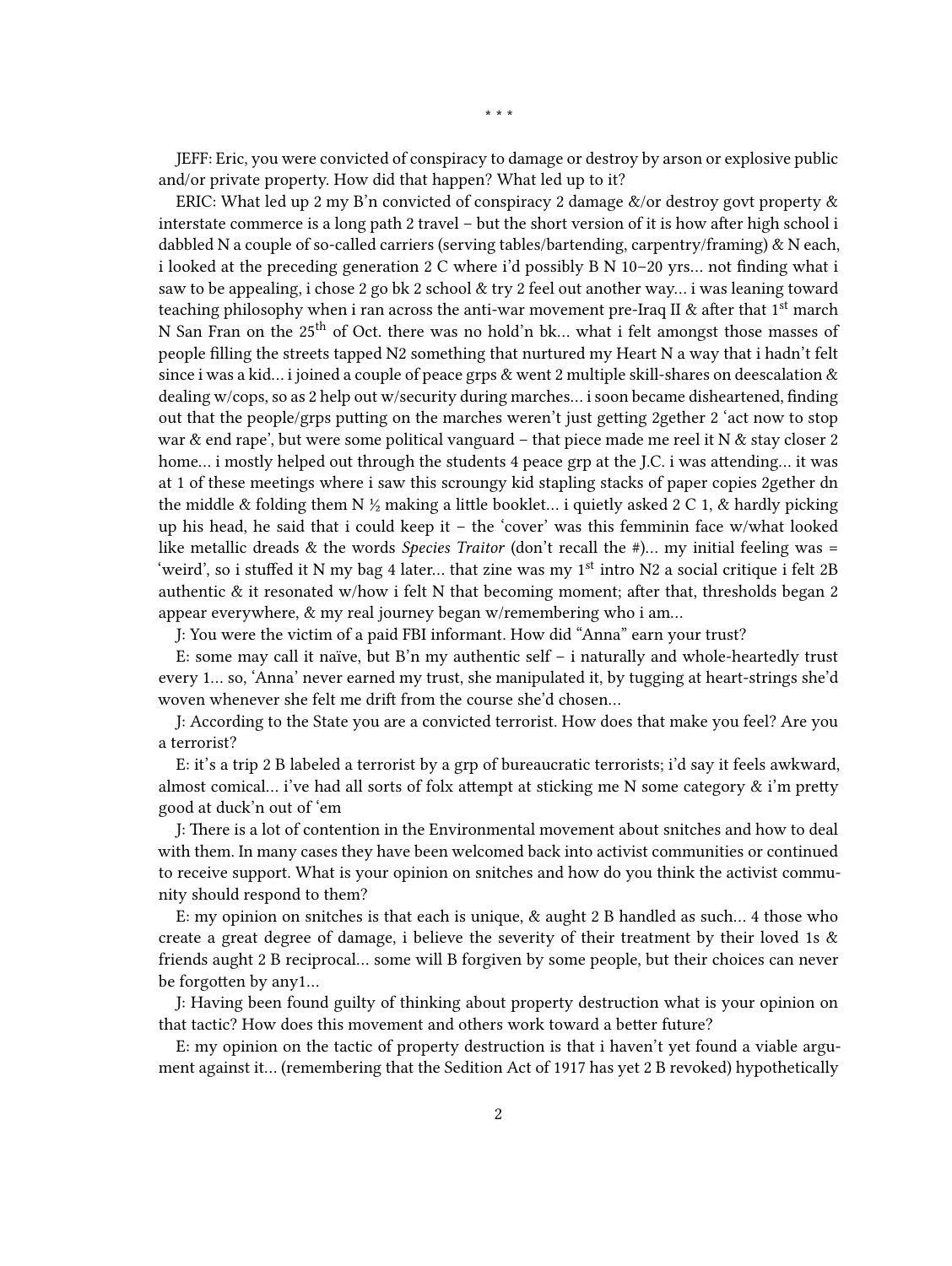JEFF: Eric, you were convicted of conspiracy to damage or destroy by arson or explosive public and/or private property. How did that happen? What led up to it?

ERIC: What led up 2 my B'n convicted of conspiracy 2 damage &/or destroy govt property & interstate commerce is a long path 2 travel – but the short version of it is how after high school i dabbled N a couple of so-called carriers (serving tables/bartending, carpentry/framing) & N each, i looked at the preceding generation 2 C where i'd possibly B N 10–20 yrs… not finding what i saw to be appealing, i chose 2 go bk 2 school & try 2 feel out another way… i was leaning toward teaching philosophy when i ran across the anti-war movement pre-Iraq II  $\&$  after that 1<sup>st</sup> march N San Fran on the 25<sup>th</sup> of Oct. there was no hold'n bk... what i felt amongst those masses of people filling the streets tapped N2 something that nurtured my Heart N a way that i hadn't felt since i was a kid... i joined a couple of peace grps  $\&$  went 2 multiple skill-shares on deescalation  $\&$ dealing w/cops, so as 2 help out w/security during marches… i soon became disheartened, finding out that the people/grps putting on the marches weren't just getting 2gether 2 'act now to stop war & end rape', but were some political vanguard - that piece made me reel it N & stay closer 2 home… i mostly helped out through the students 4 peace grp at the J.C. i was attending… it was at 1 of these meetings where i saw this scroungy kid stapling stacks of paper copies 2gether dn the middle & folding them N  $\frac{1}{2}$  making a little booklet... i quietly asked 2 C 1, & hardly picking up his head, he said that i could keep it – the 'cover' was this femminin face w/what looked like metallic dreads & the words *Species Traitor* (don't recall the #)… my initial feeling was = 'weird', so i stuffed it N my bag 4 later... that zine was my  $1<sup>st</sup>$  intro N2 a social critique i felt 2B authentic & it resonated w/how i felt N that becoming moment; after that, thresholds began 2 appear everywhere, & my real journey began w/remembering who i am…

J: You were the victim of a paid FBI informant. How did "Anna" earn your trust?

E: some may call it naïve, but B'n my authentic self – i naturally and whole-heartedly trust every 1… so, 'Anna' never earned my trust, she manipulated it, by tugging at heart-strings she'd woven whenever she felt me drift from the course she'd chosen…

J: According to the State you are a convicted terrorist. How does that make you feel? Are you a terrorist?

E: it's a trip 2 B labeled a terrorist by a grp of bureaucratic terrorists; i'd say it feels awkward, almost comical… i've had all sorts of folx attempt at sticking me N some category & i'm pretty good at duck'n out of 'em

J: There is a lot of contention in the Environmental movement about snitches and how to deal with them. In many cases they have been welcomed back into activist communities or continued to receive support. What is your opinion on snitches and how do you think the activist community should respond to them?

E: my opinion on snitches is that each is unique, & aught 2 B handled as such… 4 those who create a great degree of damage, i believe the severity of their treatment by their loved 1s & friends aught 2 B reciprocal… some will B forgiven by some people, but their choices can never be forgotten by any1…

J: Having been found guilty of thinking about property destruction what is your opinion on that tactic? How does this movement and others work toward a better future?

E: my opinion on the tactic of property destruction is that i haven't yet found a viable argument against it… (remembering that the Sedition Act of 1917 has yet 2 B revoked) hypothetically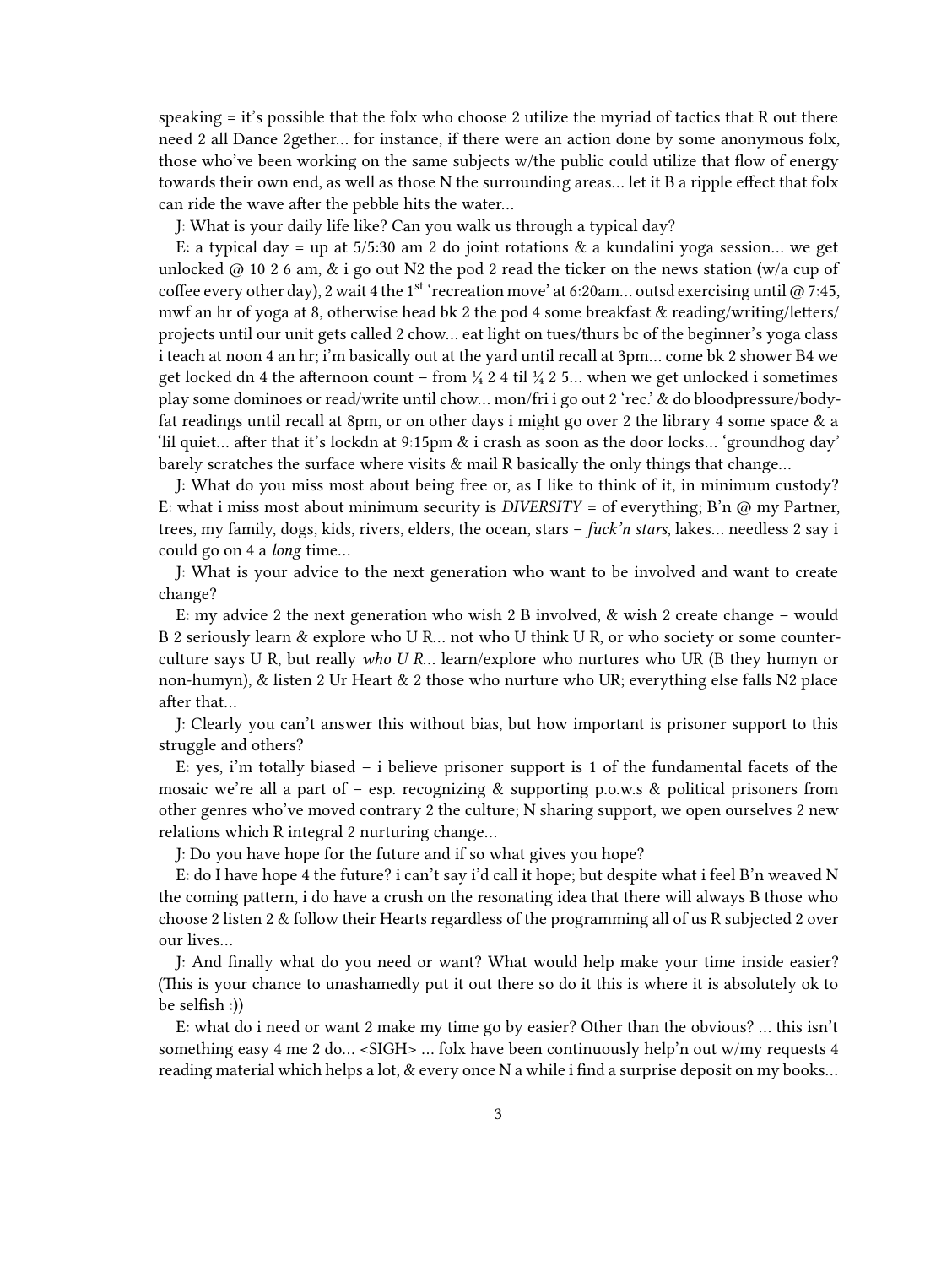speaking = it's possible that the folx who choose 2 utilize the myriad of tactics that R out there need 2 all Dance 2gether… for instance, if there were an action done by some anonymous folx, those who've been working on the same subjects w/the public could utilize that flow of energy towards their own end, as well as those N the surrounding areas… let it B a ripple effect that folx can ride the wave after the pebble hits the water…

J: What is your daily life like? Can you walk us through a typical day?

E: a typical day = up at  $5/5:30$  am 2 do joint rotations & a kundalini yoga session... we get unlocked @ 10 2 6 am,  $\&$  i go out N2 the pod 2 read the ticker on the news station (w/a cup of coffee every other day), 2 wait 4 the 1st 'recreation move' at 6:20am... outsd exercising until @ 7:45, mwf an hr of yoga at 8, otherwise head bk 2 the pod 4 some breakfast & reading/writing/letters/ projects until our unit gets called 2 chow… eat light on tues/thurs bc of the beginner's yoga class i teach at noon 4 an hr; i'm basically out at the yard until recall at 3pm… come bk 2 shower B4 we get locked dn 4 the afternoon count – from  $\frac{1}{4}$  2 4 til  $\frac{1}{4}$  2 5... when we get unlocked i sometimes play some dominoes or read/write until chow… mon/fri i go out 2 'rec.' & do bloodpressure/bodyfat readings until recall at 8pm, or on other days i might go over 2 the library 4 some space & a 'lil quiet… after that it's lockdn at 9:15pm & i crash as soon as the door locks… 'groundhog day' barely scratches the surface where visits & mail R basically the only things that change…

J: What do you miss most about being free or, as I like to think of it, in minimum custody? E: what i miss most about minimum security is *DIVERSITY* = of everything; B'n @ my Partner, trees, my family, dogs, kids, rivers, elders, the ocean, stars – *fuck'n stars*, lakes… needless 2 say i could go on 4 a *long* time…

J: What is your advice to the next generation who want to be involved and want to create change?

E: my advice 2 the next generation who wish 2 B involved, & wish 2 create change – would B 2 seriously learn & explore who U R… not who U think U R, or who society or some counterculture says U R, but really *who U R*… learn/explore who nurtures who UR (B they humyn or non-humyn), & listen 2 Ur Heart & 2 those who nurture who UR; everything else falls N2 place after that…

J: Clearly you can't answer this without bias, but how important is prisoner support to this struggle and others?

E: yes, i'm totally biased – i believe prisoner support is 1 of the fundamental facets of the mosaic we're all a part of – esp. recognizing  $\&$  supporting p.o.w.s  $\&$  political prisoners from other genres who've moved contrary 2 the culture; N sharing support, we open ourselves 2 new relations which R integral 2 nurturing change…

J: Do you have hope for the future and if so what gives you hope?

E: do I have hope 4 the future? i can't say i'd call it hope; but despite what i feel B'n weaved N the coming pattern, i do have a crush on the resonating idea that there will always B those who choose 2 listen 2 & follow their Hearts regardless of the programming all of us R subjected 2 over our lives…

J: And finally what do you need or want? What would help make your time inside easier? (This is your chance to unashamedly put it out there so do it this is where it is absolutely ok to be selfish :))

E: what do i need or want 2 make my time go by easier? Other than the obvious? … this isn't something easy 4 me 2 do… <SIGH> … folx have been continuously help'n out w/my requests 4 reading material which helps a lot, & every once N a while i find a surprise deposit on my books…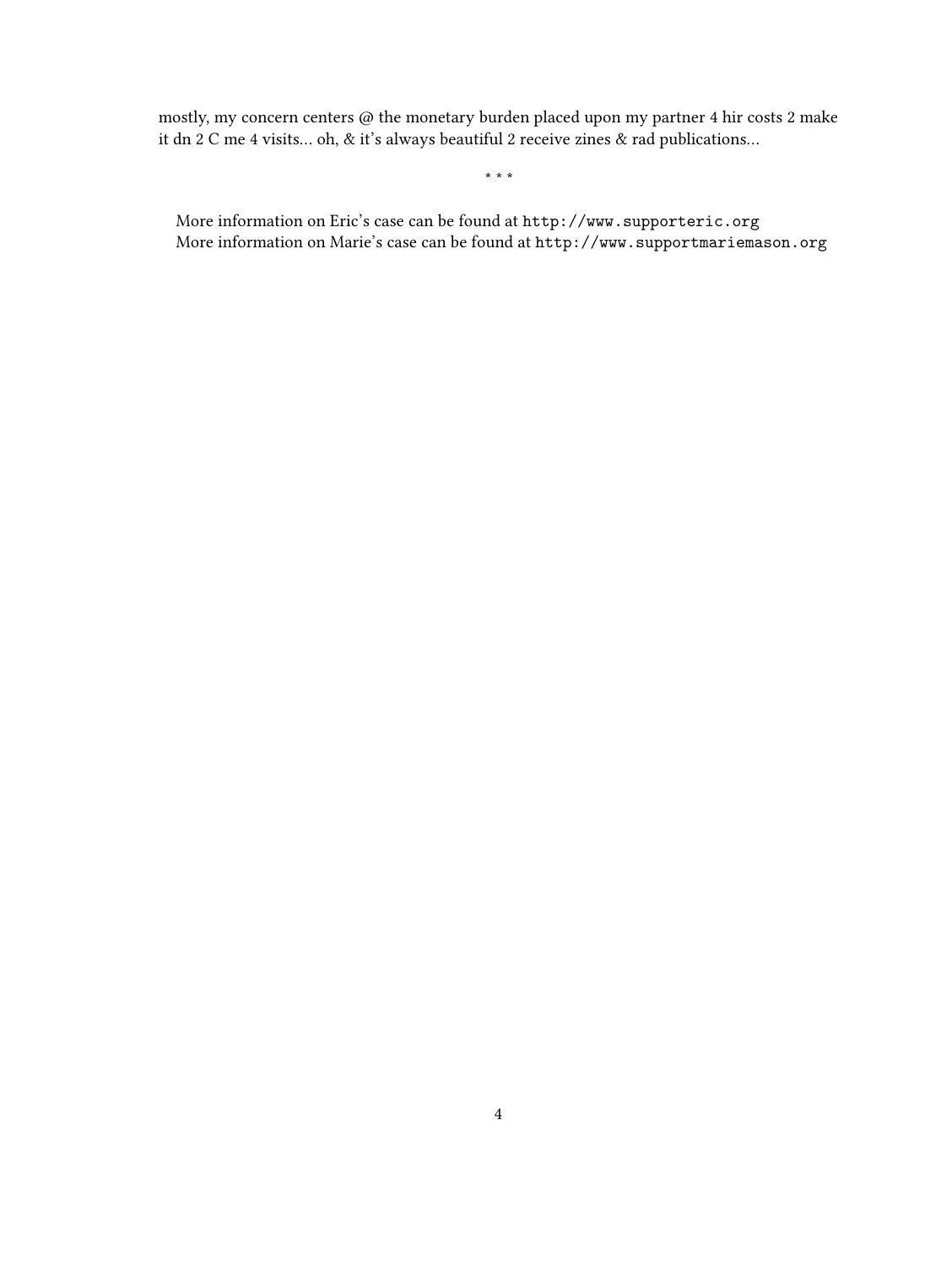mostly, my concern centers  $\textcircled{a}$  the monetary burden placed upon my partner 4 hir costs 2 make it dn 2 C me 4 visits… oh, & it's always beautiful 2 receive zines & rad publications…

\* \* \*

More information on Eric's case can be found at <http://www.supporteric.org> More information on Marie's case can be found at <http://www.supportmariemason.org>